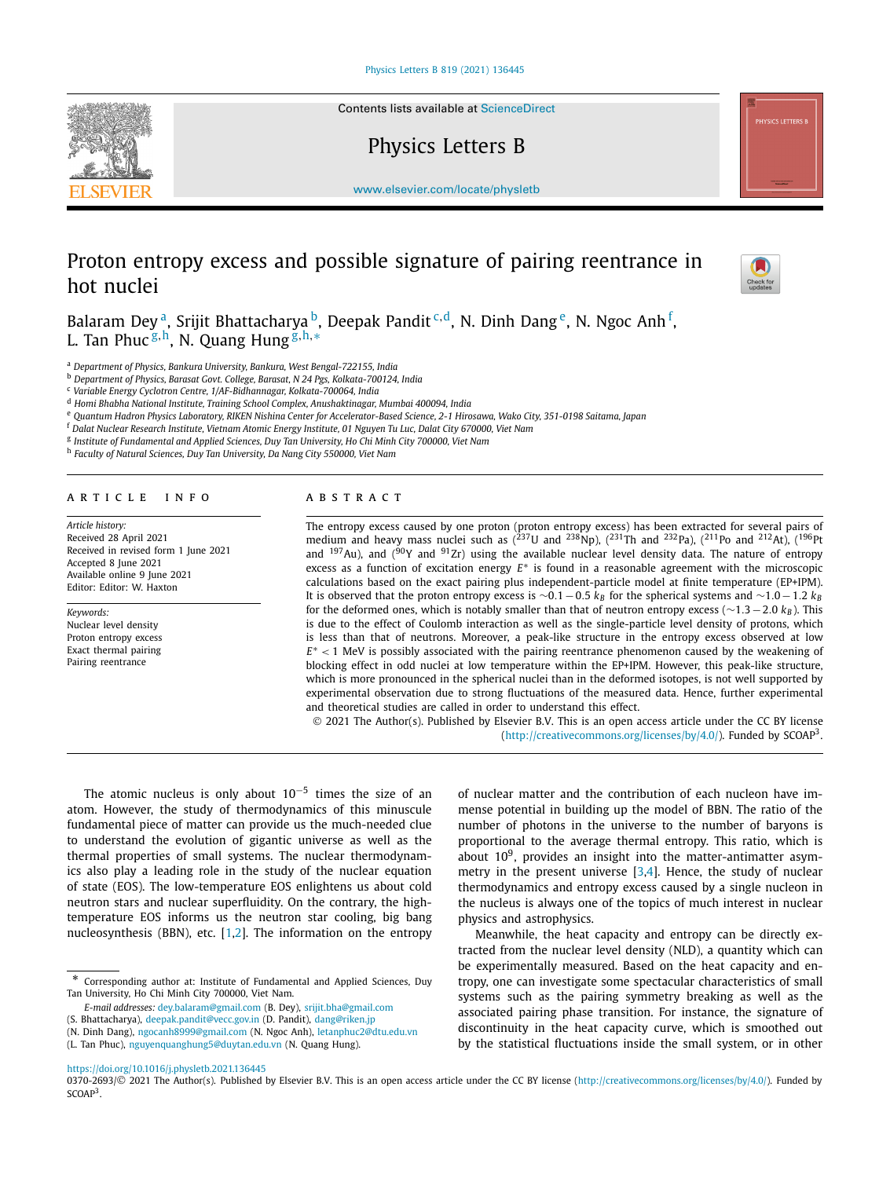Contents lists available at [ScienceDirect](http://www.ScienceDirect.com/)

Physics Letters B



[www.elsevier.com/locate/physletb](http://www.elsevier.com/locate/physletb)

# Proton entropy excess and possible signature of pairing reentrance in hot nuclei



Balaram Dey <sup>a</sup>, Srijit Bhattacharya <sup>b</sup>, Deepak Pandit <sup>c,d</sup>, N. Dinh Dang <sup>e</sup>, N. Ngoc Anh <sup>f</sup>, L. Tan Phuc <sup>g</sup>*,*h, N. Quang Hung <sup>g</sup>*,*h*,*<sup>∗</sup>

<sup>a</sup> *Department of Physics, Bankura University, Bankura, West Bengal-722155, India*

<sup>b</sup> *Department of Physics, Barasat Govt. College, Barasat, N 24 Pgs, Kolkata-700124, India*

<sup>c</sup> *Variable Energy Cyclotron Centre, 1/AF-Bidhannagar, Kolkata-700064, India*

<sup>d</sup> *Homi Bhabha National Institute, Training School Complex, Anushaktinagar, Mumbai 400094, India*

e Quantum Hadron Physics Laboratory, RIKEN Nishina Center for Accelerator-Based Science, 2-1 Hirosawa, Wako City, 351-0198 Saitama, Japan

<sup>f</sup> Dalat Nuclear Research Institute, Vietnam Atomic Energy Institute, 01 Nguyen Tu Luc, Dalat City 670000, Viet Nam

<sup>g</sup> *Institute of Fundamental and Applied Sciences, Duy Tan University, Ho Chi Minh City 700000, Viet Nam*

<sup>h</sup> *Faculty of Natural Sciences, Duy Tan University, Da Nang City 550000, Viet Nam*

## A R T I C L E I N F O A B S T R A C T

*Article history:* Received 28 April 2021 Received in revised form 1 June 2021 Accepted 8 June 2021 Available online 9 June 2021 Editor: Editor: W. Haxton

# *Keywords:* Nuclear level density

Proton entropy excess Exact thermal pairing Pairing reentrance

The entropy excess caused by one proton (proton entropy excess) has been extracted for several pairs of medium and heavy mass nuclei such as  $(^{237}U$  and  $^{238}Np$ ),  $(^{231}Th$  and  $^{232}Pa$ ),  $(^{211}Po$  and  $^{212}At$ ),  $(^{196}Pt$ and <sup>197</sup>Au), and (<sup>90</sup>Y and <sup>91</sup>Zr) using the available nuclear level density data. The nature of entropy excess as a function of excitation energy *E*∗ is found in a reasonable agreement with the microscopic calculations based on the exact pairing plus independent-particle model at finite temperature (EP+IPM). It is observed that the proton entropy excess is  $\sim$ 0*.*1−0*.5 k<sub>B</sub>* for the spherical systems and  $\sim$ 1*.0*−1*.2 k<sub>B</sub>* for the deformed ones, which is notably smaller than that of neutron entropy excess (∼1*.*3−2*.*0 *kB* ). This is due to the effect of Coulomb interaction as well as the single-particle level density of protons, which is less than that of neutrons. Moreover, a peak-like structure in the entropy excess observed at low *E*∗ *<* 1 MeV is possibly associated with the pairing reentrance phenomenon caused by the weakening of blocking effect in odd nuclei at low temperature within the EP+IPM. However, this peak-like structure, which is more pronounced in the spherical nuclei than in the deformed isotopes, is not well supported by experimental observation due to strong fluctuations of the measured data. Hence, further experimental and theoretical studies are called in order to understand this effect.

© 2021 The Author(s). Published by Elsevier B.V. This is an open access article under the CC BY license [\(http://creativecommons.org/licenses/by/4.0/\)](http://creativecommons.org/licenses/by/4.0/). Funded by SCOAP3.

The atomic nucleus is only about  $10^{-5}$  times the size of an atom. However, the study of thermodynamics of this minuscule fundamental piece of matter can provide us the much-needed clue to understand the evolution of gigantic universe as well as the thermal properties of small systems. The nuclear thermodynamics also play a leading role in the study of the nuclear equation of state (EOS). The low-temperature EOS enlightens us about cold neutron stars and nuclear superfluidity. On the contrary, the hightemperature EOS informs us the neutron star cooling, big bang nucleosynthesis (BBN), etc.  $[1,2]$  $[1,2]$ . The information on the entropy

*E-mail addresses:* [dey.balaram@gmail.com](mailto:dey.balaram@gmail.com) (B. Dey), [srijit.bha@gmail.com](mailto:srijit.bha@gmail.com)

(S. Bhattacharya), [deepak.pandit@vecc.gov.in](mailto:deepak.pandit@vecc.gov.in) (D. Pandit), [dang@riken.jp](mailto:dang@riken.jp)

of nuclear matter and the contribution of each nucleon have immense potential in building up the model of BBN. The ratio of the number of photons in the universe to the number of baryons is proportional to the average thermal entropy. This ratio, which is about  $10<sup>9</sup>$ , provides an insight into the matter-antimatter asymmetry in the present universe  $[3,4]$  $[3,4]$  $[3,4]$ . Hence, the study of nuclear thermodynamics and entropy excess caused by a single nucleon in the nucleus is always one of the topics of much interest in nuclear physics and astrophysics.

Meanwhile, the heat capacity and entropy can be directly extracted from the nuclear level density (NLD), a quantity which can be experimentally measured. Based on the heat capacity and entropy, one can investigate some spectacular characteristics of small systems such as the pairing symmetry breaking as well as the associated pairing phase transition. For instance, the signature of discontinuity in the heat capacity curve, which is smoothed out by the statistical fluctuations inside the small system, or in other

<sup>\*</sup> Corresponding author at: Institute of Fundamental and Applied Sciences, Duy Tan University, Ho Chi Minh City 700000, Viet Nam.

<sup>(</sup>N. Dinh Dang), [ngocanh8999@gmail.com](mailto:ngocanh8999@gmail.com) (N. Ngoc Anh), [letanphuc2@dtu.edu.vn](mailto:letanphuc2@dtu.edu.vn)

<sup>(</sup>L. Tan Phuc), [nguyenquanghung5@duytan.edu.vn](mailto:nguyenquanghung5@duytan.edu.vn) (N. Quang Hung).

<https://doi.org/10.1016/j.physletb.2021.136445>

<sup>0370-2693/© 2021</sup> The Author(s). Published by Elsevier B.V. This is an open access article under the CC BY license [\(http://creativecommons.org/licenses/by/4.0/](http://creativecommons.org/licenses/by/4.0/)). Funded by SCOAP<sup>3</sup>.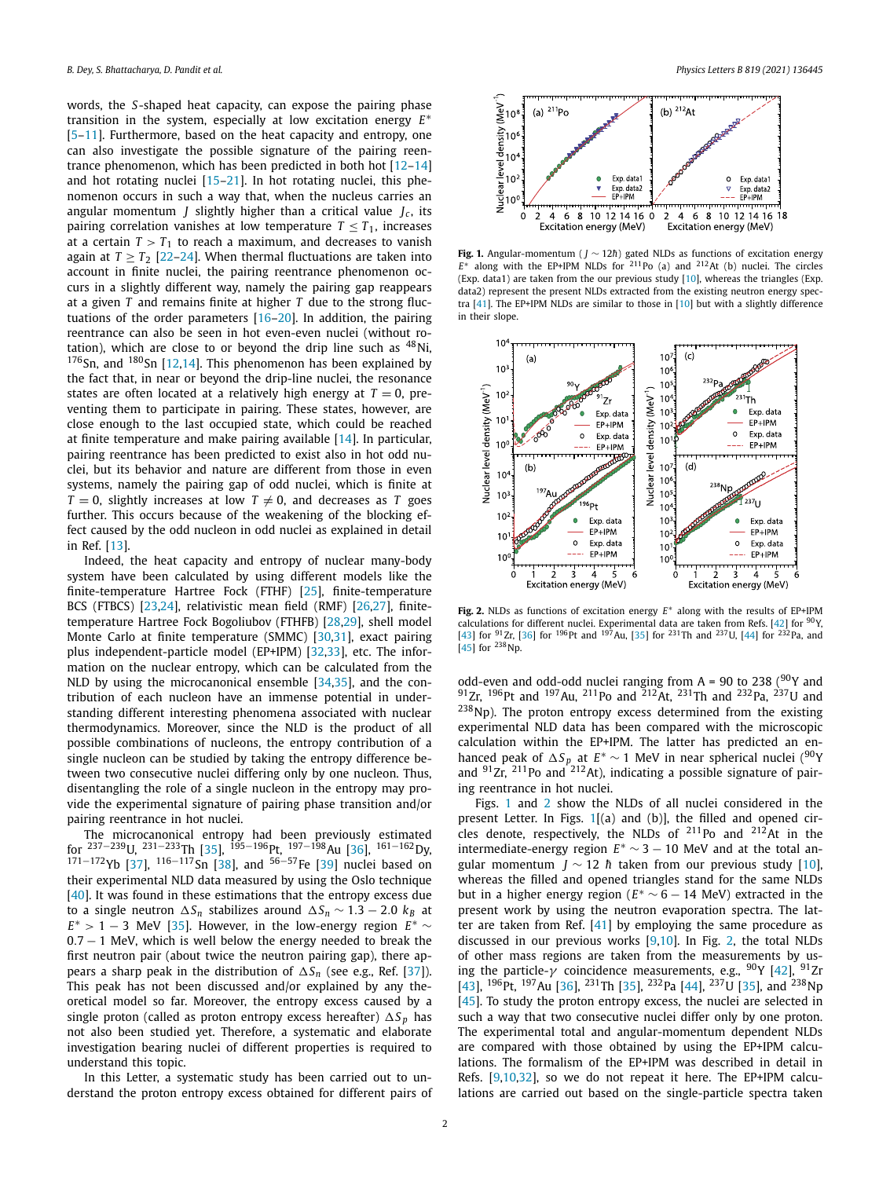<span id="page-1-0"></span>words, the *S*-shaped heat capacity, can expose the pairing phase transition in the system, especially at low excitation energy *E*∗ [\[5](#page-3-0)–[11\]](#page-3-0). Furthermore, based on the heat capacity and entropy, one can also investigate the possible signature of the pairing reentrance phenomenon, which has been predicted in both hot [[12–14\]](#page-3-0) and hot rotating nuclei [\[15–21\]](#page-3-0). In hot rotating nuclei, this phenomenon occurs in such a way that, when the nucleus carries an angular momentum *I* slightly higher than a critical value  $I_c$ , its pairing correlation vanishes at low temperature  $T \leq T_1$ , increases at a certain  $T > T_1$  to reach a maximum, and decreases to vanish again at  $T \geq T_2$  [[22–24\]](#page-3-0). When thermal fluctuations are taken into account in finite nuclei, the pairing reentrance phenomenon occurs in a slightly different way, namely the pairing gap reappears at a given *T* and remains finite at higher *T* due to the strong fluctuations of the order parameters [[16](#page-3-0)–[20\]](#page-3-0). In addition, the pairing reentrance can also be seen in hot even-even nuclei (without rotation), which are close to or beyond the drip line such as  $48$ Ni,  $176$ Sn, and  $180$ Sn [[12,14](#page-3-0)]. This phenomenon has been explained by the fact that, in near or beyond the drip-line nuclei, the resonance states are often located at a relatively high energy at  $T = 0$ , preventing them to participate in pairing. These states, however, are close enough to the last occupied state, which could be reached at finite temperature and make pairing available [\[14\]](#page-3-0). In particular, pairing reentrance has been predicted to exist also in hot odd nuclei, but its behavior and nature are different from those in even systems, namely the pairing gap of odd nuclei, which is finite at  $T = 0$ , slightly increases at low  $T \neq 0$ , and decreases as *T* goes further. This occurs because of the weakening of the blocking effect caused by the odd nucleon in odd nuclei as explained in detail in Ref. [\[13](#page-3-0)].

Indeed, the heat capacity and entropy of nuclear many-body system have been calculated by using different models like the finite-temperature Hartree Fock (FTHF) [[25\]](#page-3-0), finite-temperature BCS (FTBCS) [[23](#page-3-0),[24](#page-3-0)], relativistic mean field (RMF) [[26,27](#page-3-0)], finitetemperature Hartree Fock Bogoliubov (FTHFB) [[28,29](#page-3-0)], shell model Monte Carlo at finite temperature (SMMC) [\[30,31](#page-3-0)], exact pairing plus independent-particle model (EP+IPM) [\[32,33\]](#page-3-0), etc. The information on the nuclear entropy, which can be calculated from the NLD by using the microcanonical ensemble [\[34,35\]](#page-3-0), and the contribution of each nucleon have an immense potential in understanding different interesting phenomena associated with nuclear thermodynamics. Moreover, since the NLD is the product of all possible combinations of nucleons, the entropy contribution of a single nucleon can be studied by taking the entropy difference between two consecutive nuclei differing only by one nucleon. Thus, disentangling the role of a single nucleon in the entropy may provide the experimental signature of pairing phase transition and/or pairing reentrance in hot nuclei.

The microcanonical entropy had been previously estimated for <sup>237−239</sup>U, <sup>231−233</sup>Th [\[35](#page-3-0)], <sup>195−196</sup>Pt, <sup>197−198</sup>Au [[36\]](#page-3-0), <sup>161−162</sup>Dy, 171−172Yb [[37](#page-3-0)],  $116-117$ Sn [\[38\]](#page-3-0), and  $56-57$ Fe [[39](#page-4-0)] nuclei based on their experimental NLD data measured by using the Oslo technique [\[40\]](#page-4-0). It was found in these estimations that the entropy excess due to a single neutron  $\Delta S_n$  stabilizes around  $\Delta S_n \sim 1.3 - 2.0$  *kB* at  $E^*$  > 1 − 3 MeV [\[35\]](#page-3-0). However, in the low-energy region  $E^*$   $\sim$ 0*.*7 − 1 MeV, which is well below the energy needed to break the first neutron pair (about twice the neutron pairing gap), there appears a sharp peak in the distribution of  $\Delta S_n$  (see e.g., Ref. [[37](#page-3-0)]). This peak has not been discussed and/or explained by any theoretical model so far. Moreover, the entropy excess caused by a single proton (called as proton entropy excess hereafter)  $\Delta S_p$  has not also been studied yet. Therefore, a systematic and elaborate investigation bearing nuclei of different properties is required to understand this topic.

In this Letter, a systematic study has been carried out to understand the proton entropy excess obtained for different pairs of



Fig. 1. Angular-momentum (*J* ∼ 12*h*) gated NLDs as functions of excitation energy  $E^*$  along with the EP+IPM NLDs for <sup>211</sup>Po (a) and <sup>212</sup>At (b) nuclei. The circles (Exp. data1) are taken from the our previous study [\[10](#page-3-0)], whereas the triangles (Exp. data2) represent the present NLDs extracted from the existing neutron energy spectra [\[41\]](#page-4-0). The EP+IPM NLDs are similar to those in [[10](#page-3-0)] but with a slightly difference in their slope.



**Fig. 2.** NLDs as functions of excitation energy *E*∗ along with the results of EP+IPM calculations for different nuclei. Experimental data are taken from Refs. [\[42](#page-4-0)] for  $90$ Y, [[43](#page-4-0)] for <sup>91</sup>Zr, [\[36\]](#page-3-0) for <sup>196</sup>Pt and <sup>197</sup>Au, [\[35\]](#page-3-0) for <sup>231</sup>Th and <sup>237</sup>U, [[44](#page-4-0)] for <sup>232</sup>Pa, and  $[45]$  $[45]$  $[45]$  for  $^{238}$ Np.

odd-even and odd-odd nuclei ranging from  $A = 90$  to 238 ( $90Y$  and 91Zr, 196Pt and 197Au, 211Po and 212At, 231Th and 232Pa, 237U and  $238$ Np). The proton entropy excess determined from the existing experimental NLD data has been compared with the microscopic calculation within the EP+IPM. The latter has predicted an enhanced peak of  $\Delta S_p$  at  $E^* \sim 1$  MeV in near spherical nuclei (<sup>90</sup>Y and  $91Zr$ ,  $211Po$  and  $212At$ ), indicating a possible signature of pairing reentrance in hot nuclei.

Figs. 1 and 2 show the NLDs of all nuclei considered in the present Letter. In Figs. 1[(a) and (b)], the filled and opened circles denote, respectively, the NLDs of  $^{211}$ Po and  $^{212}$ At in the intermediate-energy region  $E^* \sim 3 - 10$  MeV and at the total angular momentum *J* ~ 12 *h* taken from our previous study [[10\]](#page-3-0), whereas the filled and opened triangles stand for the same NLDs but in a higher energy region ( $E^* \sim 6 - 14$  MeV) extracted in the present work by using the neutron evaporation spectra. The latter are taken from Ref. [\[41\]](#page-4-0) by employing the same procedure as discussed in our previous works [[9,10\]](#page-3-0). In Fig. 2, the total NLDs of other mass regions are taken from the measurements by using the particle-*γ* coincidence measurements, e.g., <sup>90</sup>Υ [\[42\]](#page-4-0), <sup>91</sup>Zr [\[43\]](#page-4-0), <sup>196</sup>Pt, <sup>197</sup>Au [[36](#page-3-0)], <sup>231</sup>Th [\[35](#page-3-0)], <sup>232</sup>Pa [\[44\]](#page-4-0), <sup>237</sup>U [35], and <sup>238</sup>Np [\[45\]](#page-4-0). To study the proton entropy excess, the nuclei are selected in such a way that two consecutive nuclei differ only by one proton. The experimental total and angular-momentum dependent NLDs are compared with those obtained by using the EP+IPM calculations. The formalism of the EP+IPM was described in detail in Refs. [[9,10,32\]](#page-3-0), so we do not repeat it here. The EP+IPM calculations are carried out based on the single-particle spectra taken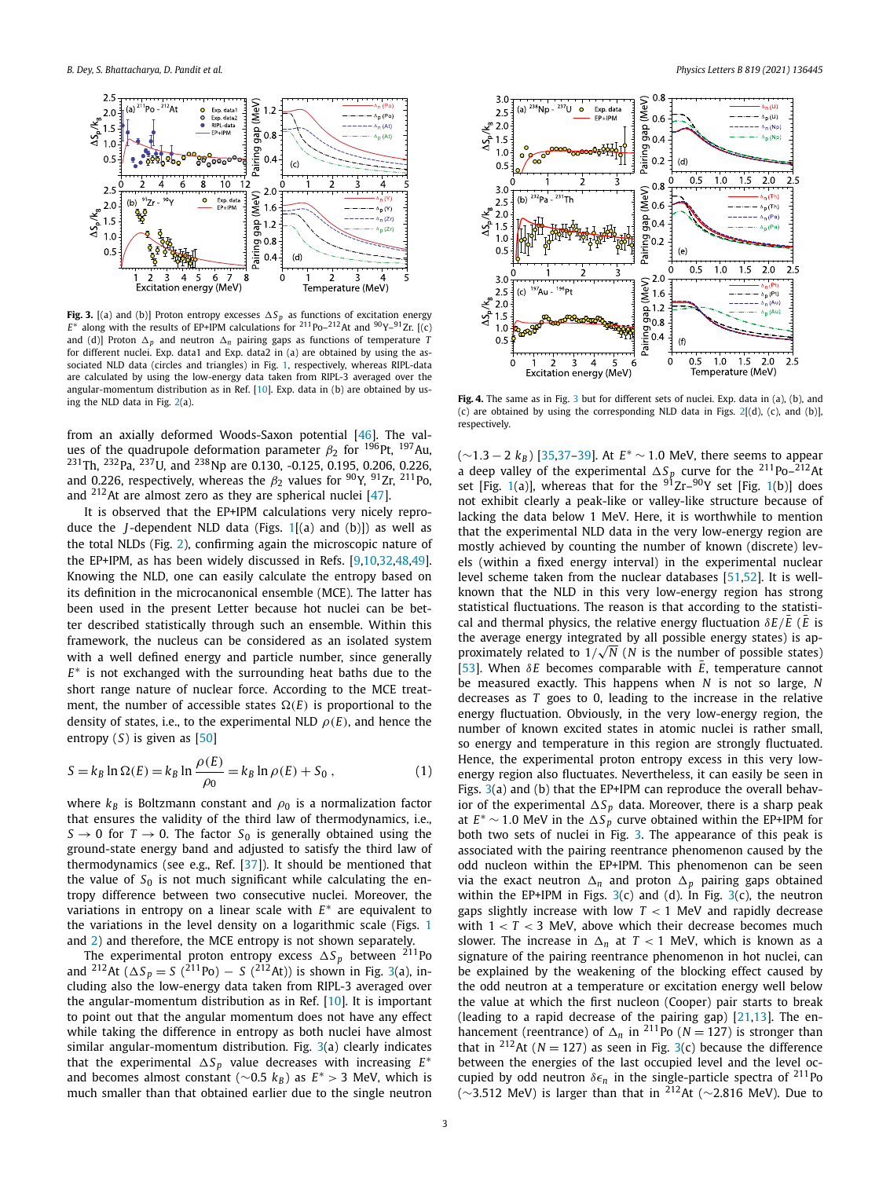<span id="page-2-0"></span>

**Fig. 3.** [(a) and (b)] Proton entropy excesses  $\Delta S_p$  as functions of excitation energy  $E^*$  along with the results of EP+IPM calculations for <sup>211</sup>Po–<sup>212</sup>At and <sup>90</sup>Y–<sup>91</sup>Zr. [(c) and (d)] Proton  $\Delta_p$  and neutron  $\Delta_n$  pairing gaps as functions of temperature *T* for different nuclei. Exp. data1 and Exp. data2 in (a) are obtained by using the associated NLD data (circles and triangles) in Fig. [1,](#page-1-0) respectively, whereas RIPL-data are calculated by using the low-energy data taken from RIPL-3 averaged over the angular-momentum distribution as in Ref. [\[10\]](#page-3-0). Exp. data in (b) are obtained by using the NLD data in Fig. [2](#page-1-0)(a).

from an axially deformed Woods-Saxon potential [\[46](#page-4-0)]. The values of the quadrupole deformation parameter  $\beta_2$  for <sup>196</sup>Pt, <sup>197</sup>Au,  $^{231}$ Th,  $^{232}$ Pa,  $^{237}$ U, and  $^{238}$ Np are 0.130, -0.125, 0.195, 0.206, 0.226, and 0.226, respectively, whereas the  $\beta_2$  values for <sup>90</sup>Y, <sup>91</sup>Zr, <sup>211</sup>Po, and 212At are almost zero as they are spherical nuclei [[47](#page-4-0)].

It is observed that the EP+IPM calculations very nicely reproduce the *J* -dependent NLD data (Figs. [1\[](#page-1-0)(a) and (b)]) as well as the total NLDs (Fig. [2\)](#page-1-0), confirming again the microscopic nature of the EP+IPM, as has been widely discussed in Refs. [[9,10,32,](#page-3-0)[48,49\]](#page-4-0). Knowing the NLD, one can easily calculate the entropy based on its definition in the microcanonical ensemble (MCE). The latter has been used in the present Letter because hot nuclei can be better described statistically through such an ensemble. Within this framework, the nucleus can be considered as an isolated system with a well defined energy and particle number, since generally *E*∗ is not exchanged with the surrounding heat baths due to the short range nature of nuclear force. According to the MCE treatment, the number of accessible states  $\Omega(E)$  is proportional to the density of states, i.e., to the experimental NLD  $\rho(E)$ , and hence the entropy (*S*) is given as [[50\]](#page-4-0)

$$
S = k_B \ln \Omega(E) = k_B \ln \frac{\rho(E)}{\rho_0} = k_B \ln \rho(E) + S_0 ,
$$
 (1)

where  $k_B$  is Boltzmann constant and  $\rho_0$  is a normalization factor that ensures the validity of the third law of thermodynamics, i.e.,  $S \rightarrow 0$  for  $T \rightarrow 0$ . The factor  $S_0$  is generally obtained using the ground-state energy band and adjusted to satisfy the third law of thermodynamics (see e.g., Ref. [[37\]](#page-3-0)). It should be mentioned that the value of  $S_0$  is not much significant while calculating the entropy difference between two consecutive nuclei. Moreover, the variations in entropy on a linear scale with *E*∗ are equivalent to the variations in the level density on a logarithmic scale (Figs. [1](#page-1-0) and [2\)](#page-1-0) and therefore, the MCE entropy is not shown separately.

The experimental proton entropy excess  $\Delta S_p$  between  $^{211}$ Po and <sup>212</sup>At ( $\Delta S_p = S$  (<sup>211</sup>Po) – *S* (<sup>212</sup>At)) is shown in Fig. 3(a), including also the low-energy data taken from RIPL-3 averaged over the angular-momentum distribution as in Ref. [\[10](#page-3-0)]. It is important to point out that the angular momentum does not have any effect while taking the difference in entropy as both nuclei have almost similar angular-momentum distribution. Fig. 3(a) clearly indicates that the experimental  $\Delta S_p$  value decreases with increasing  $E^*$ and becomes almost constant (∼0.5  $k_B$ ) as  $E^* > 3$  MeV, which is much smaller than that obtained earlier due to the single neutron



**Fig. 4.** The same as in Fig. 3 but for different sets of nuclei. Exp. data in (a), (b), and (c) are obtained by using the corresponding NLD data in Figs.  $2[(d)$  $2[(d)$ , (c), and (b)], respectively.

(∼1*.*3 − 2 *kB* ) [\[35,37](#page-3-0)[–39](#page-4-0)]. At *E*<sup>∗</sup> ∼ 1*.*0 MeV, there seems to appear a deep valley of the experimental  $\Delta S_p$  curve for the <sup>211</sup>Po–<sup>212</sup>At set [Fig. [1](#page-1-0)(a)], whereas that for the <sup>91</sup>Zr–<sup>90</sup>Y set [Fig. 1(b)] does not exhibit clearly a peak-like or valley-like structure because of lacking the data below 1 MeV. Here, it is worthwhile to mention that the experimental NLD data in the very low-energy region are mostly achieved by counting the number of known (discrete) levels (within a fixed energy interval) in the experimental nuclear level scheme taken from the nuclear databases [[51,52](#page-4-0)]. It is wellknown that the NLD in this very low-energy region has strong statistical fluctuations. The reason is that according to the statistical and thermal physics, the relative energy fluctuation  $\delta E/\bar{E}$  ( $\bar{E}$  is the average energy integrated by all possible energy states) is approximately related to  $1/\sqrt{N}$  (*N* is the number of possible states) [\[53\]](#page-4-0). When  $\delta E$  becomes comparable with  $\bar{E}$ , temperature cannot be measured exactly. This happens when *N* is not so large, *N* decreases as *T* goes to 0, leading to the increase in the relative energy fluctuation. Obviously, in the very low-energy region, the number of known excited states in atomic nuclei is rather small, so energy and temperature in this region are strongly fluctuated. Hence, the experimental proton entropy excess in this very lowenergy region also fluctuates. Nevertheless, it can easily be seen in Figs. 3(a) and (b) that the EP+IPM can reproduce the overall behavior of the experimental  $\Delta S_{p}$  data. Moreover, there is a sharp peak at  $E^*$  ∼ 1.0 MeV in the  $\Delta S_p$  curve obtained within the EP+IPM for both two sets of nuclei in Fig. 3. The appearance of this peak is associated with the pairing reentrance phenomenon caused by the odd nucleon within the EP+IPM. This phenomenon can be seen via the exact neutron  $\Delta_n$  and proton  $\Delta_p$  pairing gaps obtained within the EP+IPM in Figs.  $3(c)$  and (d). In Fig.  $3(c)$ , the neutron gaps slightly increase with low *T <* 1 MeV and rapidly decrease with 1 *< T <* 3 MeV, above which their decrease becomes much slower. The increase in  $\Delta_n$  at  $T < 1$  MeV, which is known as a signature of the pairing reentrance phenomenon in hot nuclei, can be explained by the weakening of the blocking effect caused by the odd neutron at a temperature or excitation energy well below the value at which the first nucleon (Cooper) pair starts to break (leading to a rapid decrease of the pairing gap) [[21,13](#page-3-0)]. The enhancement (reentrance) of  $\Delta_n$  in <sup>211</sup>Po ( $N = 127$ ) is stronger than that in <sup>212</sup>At ( $N = 127$ ) as seen in Fig. 3(c) because the difference between the energies of the last occupied level and the level occupied by odd neutron  $\delta \epsilon_n$  in the single-particle spectra of <sup>211</sup>Po ( $\sim$ 3.512 MeV) is larger than that in <sup>212</sup>At ( $\sim$ 2.816 MeV). Due to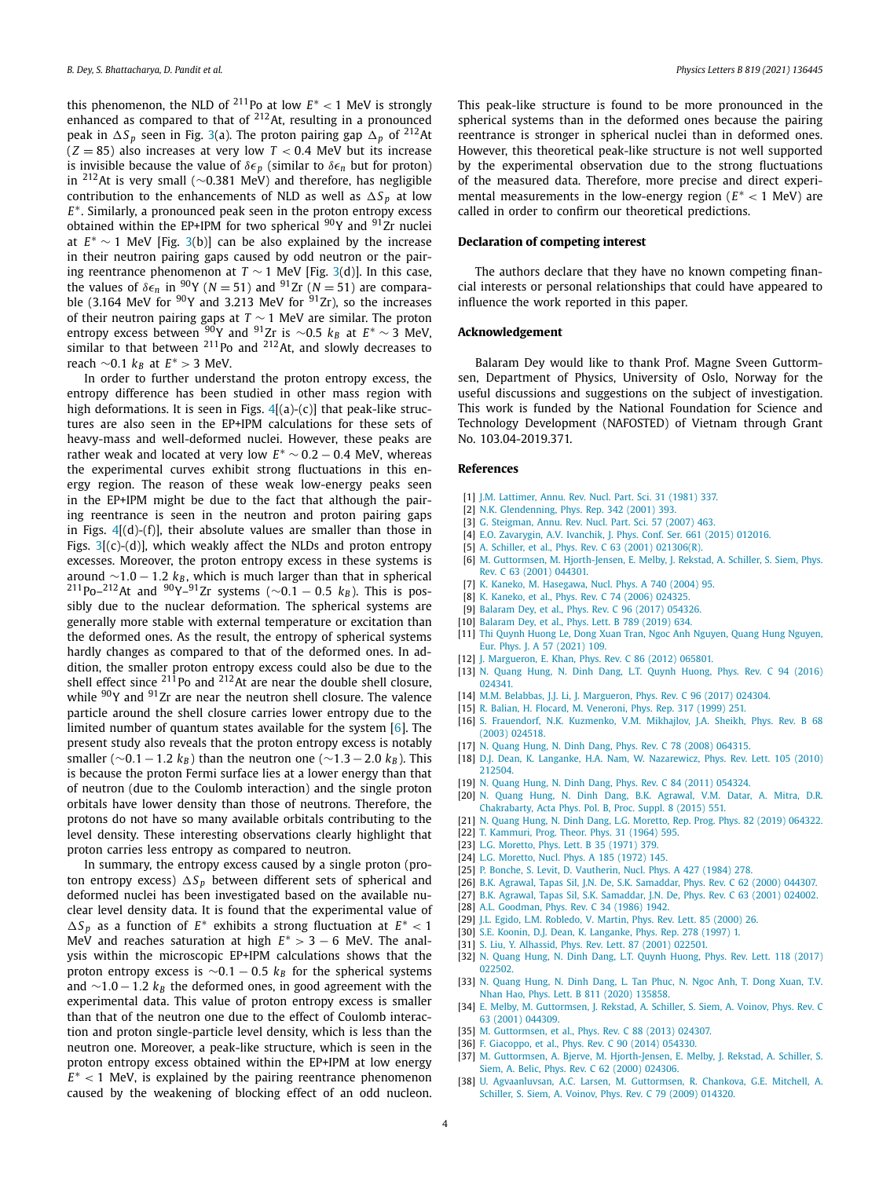<span id="page-3-0"></span>this phenomenon, the NLD of  $^{211}$ Po at low  $E^*$  < 1 MeV is strongly enhanced as compared to that of  $212$ At, resulting in a pronounced peak in  $\Delta S_p$  seen in Fig. [3](#page-2-0)(a). The proton pairing gap  $\Delta_p$  of <sup>212</sup>At  $(Z = 85)$  also increases at very low  $T < 0.4$  MeV but its increase is invisible because the value of  $\delta \epsilon_p$  (similar to  $\delta \epsilon_n$  but for proton) in 212At is very small (∼0.381 MeV) and therefore, has negligible contribution to the enhancements of NLD as well as  $\Delta S_p$  at low *E*<sup>∗</sup>. Similarly, a pronounced peak seen in the proton entropy excess obtained within the EP+IPM for two spherical  $90Y$  and  $91Zr$  nuclei at *E*<sup>∗</sup> ∼ 1 MeV [Fig. [3\(](#page-2-0)b)] can be also explained by the increase in their neutron pairing gaps caused by odd neutron or the pairing reentrance phenomenon at *T*  $\sim$  1 MeV [Fig. [3](#page-2-0)(d)]. In this case, the values of  $\delta \epsilon_n$  in  $90Y$  ( $N = 51$ ) and  $91Zr$  ( $N = 51$ ) are compara-<br>ble (3.164 MeV for  $90Y$  and 3.213 MeV for  $91Zr$ ), so the increases of their neutron pairing gaps at *T* ∼ 1 MeV are similar. The proton entropy excess between <sup>90</sup>Y and <sup>91</sup>Zr is ∼0.5 k<sub>B</sub> at E\*∼3 MeV,<br>similar to that between <sup>211</sup>Po and <sup>212</sup>At, and slowly decreases to reach  $\sim$ 0.1  $k_B$  at  $E^*$  > 3 MeV.

In order to further understand the proton entropy excess, the entropy difference has been studied in other mass region with high deformations. It is seen in Figs.  $4[(a)-(c)]$  $4[(a)-(c)]$  that peak-like structures are also seen in the EP+IPM calculations for these sets of heavy-mass and well-deformed nuclei. However, these peaks are rather weak and located at very low  $E^* \sim 0.2 - 0.4$  MeV, whereas the experimental curves exhibit strong fluctuations in this energy region. The reason of these weak low-energy peaks seen in the EP+IPM might be due to the fact that although the pairing reentrance is seen in the neutron and proton pairing gaps in Figs.  $4[(d)-(f)]$  $4[(d)-(f)]$ , their absolute values are smaller than those in Figs.  $3[(c)-(d)]$  $3[(c)-(d)]$ , which weakly affect the NLDs and proton entropy excesses. Moreover, the proton entropy excess in these systems is around ∼1.0 − 1.2  $k_B$ , which is much larger than that in spherical 211Po–212At and 90Y–91Zr systems (∼0*.*<sup>1</sup> − <sup>0</sup>*.*<sup>5</sup> *kB* ). This is possibly due to the nuclear deformation. The spherical systems are generally more stable with external temperature or excitation than the deformed ones. As the result, the entropy of spherical systems hardly changes as compared to that of the deformed ones. In addition, the smaller proton entropy excess could also be due to the shell effect since  $^{21\bar{1}}$ Po and  $^{212}$ At are near the double shell closure, while  $90Y$  and  $91Zr$  are near the neutron shell closure. The valence particle around the shell closure carries lower entropy due to the limited number of quantum states available for the system [6]. The present study also reveals that the proton entropy excess is notably smaller ( $\sim$ 0*.*1 − 1*.2*  $k_B$ ) than the neutron one ( $\sim$ 1*.*3 − 2*.0*  $k_B$ ). This is because the proton Fermi surface lies at a lower energy than that of neutron (due to the Coulomb interaction) and the single proton orbitals have lower density than those of neutrons. Therefore, the protons do not have so many available orbitals contributing to the level density. These interesting observations clearly highlight that proton carries less entropy as compared to neutron.

In summary, the entropy excess caused by a single proton (proton entropy excess)  $\Delta S_p$  between different sets of spherical and deformed nuclei has been investigated based on the available nuclear level density data. It is found that the experimental value of *-S <sup>p</sup>* as a function of *E*∗ exhibits a strong fluctuation at *E*∗ *<* 1 MeV and reaches saturation at high *E*<sup>∗</sup> *>* 3 − 6 MeV. The analysis within the microscopic EP+IPM calculations shows that the proton entropy excess is  $\sim$ 0.1 − 0.5  $k_B$  for the spherical systems and  $∼1.0 - 1.2$   $k_B$  the deformed ones, in good agreement with the experimental data. This value of proton entropy excess is smaller than that of the neutron one due to the effect of Coulomb interaction and proton single-particle level density, which is less than the neutron one. Moreover, a peak-like structure, which is seen in the proton entropy excess obtained within the EP+IPM at low energy *E*∗ *<* 1 MeV, is explained by the pairing reentrance phenomenon caused by the weakening of blocking effect of an odd nucleon. This peak-like structure is found to be more pronounced in the spherical systems than in the deformed ones because the pairing reentrance is stronger in spherical nuclei than in deformed ones. However, this theoretical peak-like structure is not well supported by the experimental observation due to the strong fluctuations of the measured data. Therefore, more precise and direct experimental measurements in the low-energy region (*E*∗ *<* 1 MeV) are called in order to confirm our theoretical predictions.

### **Declaration of competing interest**

The authors declare that they have no known competing financial interests or personal relationships that could have appeared to influence the work reported in this paper.

# **Acknowledgement**

Balaram Dey would like to thank Prof. Magne Sveen Guttormsen, Department of Physics, University of Oslo, Norway for the useful discussions and suggestions on the subject of investigation. This work is funded by the National Foundation for Science and Technology Development (NAFOSTED) of Vietnam through Grant No. 103.04-2019.371.

## **References**

- [1] J.M. [Lattimer,](http://refhub.elsevier.com/S0370-2693(21)00385-3/bib59A7DC428B5FC3FAEA36DE1361EF4606s1) Annu. Rev. Nucl. Part. Sci. 31 (1981) 337.
- [2] N.K. [Glendenning,](http://refhub.elsevier.com/S0370-2693(21)00385-3/bib72C69A8DD6A5E40BD4EB313B735F3378s1) Phys. Rep. 342 (2001) 393.
- [3] G. [Steigman,](http://refhub.elsevier.com/S0370-2693(21)00385-3/bib4AEAC0FCE27FE76E7396104BD362250Es1) Annu. Rev. Nucl. Part. Sci. 57 (2007) 463.
- [4] E.O. [Zavarygin,](http://refhub.elsevier.com/S0370-2693(21)00385-3/bib1066BD423EAA2B148AF192DC18C3F279s1) A.V. Ivanchik, J. Phys. Conf. Ser. 661 (2015) 012016.
- [5] A. Schiller, et al., Phys. Rev. C 63 (2001) [021306\(R\).](http://refhub.elsevier.com/S0370-2693(21)00385-3/bib5C2F0D51987E14178922F7FBE5050F9Cs1)
- [6] M. Guttormsen, M. [Hjorth-Jensen,](http://refhub.elsevier.com/S0370-2693(21)00385-3/bib50DEEDBCD106115C7DD7ECA42E205C2Ds1) E. Melby, J. Rekstad, A. Schiller, S. Siem, Phys. Rev. C 63 (2001) [044301.](http://refhub.elsevier.com/S0370-2693(21)00385-3/bib50DEEDBCD106115C7DD7ECA42E205C2Ds1)
- [7] K. Kaneko, M. [Hasegawa,](http://refhub.elsevier.com/S0370-2693(21)00385-3/bibAB597241C729D3DF5B3C4169E5DD14B1s1) Nucl. Phys. A 740 (2004) 95.
- [8] K. [Kaneko,](http://refhub.elsevier.com/S0370-2693(21)00385-3/bib4111A4AF29AC278F5407A71B2A433D18s1) et al., Phys. Rev. C 74 (2006) 024325.
- [9] [Balaram](http://refhub.elsevier.com/S0370-2693(21)00385-3/bib51E09098AF3033780A31E20BD303DACCs1) Dey, et al., Phys. Rev. C 96 (2017) 054326.
- [10] [Balaram](http://refhub.elsevier.com/S0370-2693(21)00385-3/bibDC1B7DCDC41CC5694C6D0F2C82604938s1) Dey, et al., Phys. Lett. B 789 (2019) 634.
- [11] Thi [Quynh Huong Le,](http://refhub.elsevier.com/S0370-2693(21)00385-3/bib3CB42D366AB0EEA9240D16551EDEDA64s1) Dong Xuan Tran, Ngoc Anh Nguyen, Quang Hung Nguyen, Eur. Phys. J. A 57 [\(2021\)](http://refhub.elsevier.com/S0370-2693(21)00385-3/bib3CB42D366AB0EEA9240D16551EDEDA64s1) 109.
- [12] J. [Margueron,](http://refhub.elsevier.com/S0370-2693(21)00385-3/bib3B574C55FC1ACDCC06D17CC2D407072Ds1) E. Khan, Phys. Rev. C 86 (2012) 065801.
- [13] N. Quang Hung, N. Dinh Dang, L.T. Quynh [Huong,](http://refhub.elsevier.com/S0370-2693(21)00385-3/bib21F3E3458019BD2AC2AF4EE985A2D915s1) Phys. Rev. C 94 (2016) [024341.](http://refhub.elsevier.com/S0370-2693(21)00385-3/bib21F3E3458019BD2AC2AF4EE985A2D915s1)
- [14] M.M. Belabbas, J.J. Li, J. [Margueron,](http://refhub.elsevier.com/S0370-2693(21)00385-3/bib6B62D8E38EFF45AA22468BB25B59347As1) Phys. Rev. C 96 (2017) 024304.
- [15] R. Balian, H. Flocard, M. [Veneroni,](http://refhub.elsevier.com/S0370-2693(21)00385-3/bib921707C68E8BD6D7C6ECB41226EE1DACs1) Phys. Rep. 317 (1999) 251.
- [16] S. [Frauendorf,](http://refhub.elsevier.com/S0370-2693(21)00385-3/bibE91EF68B9016AF4FC94FB3C0B47BB4C5s1) N.K. Kuzmenko, V.M. Mikhajlov, J.A. Sheikh, Phys. Rev. B 68 (2003) [024518.](http://refhub.elsevier.com/S0370-2693(21)00385-3/bibE91EF68B9016AF4FC94FB3C0B47BB4C5s1)
- [17] N. Quang Hung, N. Dinh Dang, Phys. Rev. C 78 (2008) [064315.](http://refhub.elsevier.com/S0370-2693(21)00385-3/bib1553783E427148B37AED172C191360C5s1)
- [18] D.J. Dean, K. Langanke, H.A. Nam, W. [Nazarewicz,](http://refhub.elsevier.com/S0370-2693(21)00385-3/bib21D6CB8984871E8D552101FDBD50A102s1) Phys. Rev. Lett. 105 (2010) [212504.](http://refhub.elsevier.com/S0370-2693(21)00385-3/bib21D6CB8984871E8D552101FDBD50A102s1)
- [19] N. Quang Hung, N. Dinh Dang, Phys. Rev. C 84 (2011) [054324.](http://refhub.elsevier.com/S0370-2693(21)00385-3/bib809E80224041B730AA18AFB29C6F577Bs1)
- [20] N. Quang Hung, N. Dinh Dang, B.K. [Agrawal,](http://refhub.elsevier.com/S0370-2693(21)00385-3/bib6C8C31AC7854A4A1085D6CD3FD06D148s1) V.M. Datar, A. Mitra, D.R. [Chakrabarty,](http://refhub.elsevier.com/S0370-2693(21)00385-3/bib6C8C31AC7854A4A1085D6CD3FD06D148s1) Acta Phys. Pol. B, Proc. Suppl. 8 (2015) 551.
- [21] N. Quang Hung, N. Dinh Dang, L.G. [Moretto,](http://refhub.elsevier.com/S0370-2693(21)00385-3/bibC659BF90CA13B993C38F2F994107D3D3s1) Rep. Prog. Phys. 82 (2019) 064322.
- [22] T. [Kammuri,](http://refhub.elsevier.com/S0370-2693(21)00385-3/bib99C4F7BBACD804E624491A3A4BC3F2B5s1) Prog. Theor. Phys. 31 (1964) 595. [23] L.G. [Moretto,](http://refhub.elsevier.com/S0370-2693(21)00385-3/bibA19444DF3CFB1DFA6B4C04EDEB631374s1) Phys. Lett. B 35 (1971) 379.
- [24] L.G. [Moretto,](http://refhub.elsevier.com/S0370-2693(21)00385-3/bib662E4CF2D0DA939C8A3F206C6F04E1C0s1) Nucl. Phys. A 185 (1972) 145.
- [25] P. Bonche, S. Levit, D. [Vautherin,](http://refhub.elsevier.com/S0370-2693(21)00385-3/bibDE9F9D96DA16A4D8FCB79E81860AD53Cs1) Nucl. Phys. A 427 (1984) 278.
- [26] B.K. Agrawal, Tapas Sil, J.N. De, S.K. [Samaddar,](http://refhub.elsevier.com/S0370-2693(21)00385-3/bib382F8B7423C305B015CACE55C874FBFCs1) Phys. Rev. C 62 (2000) 044307.
- [27] B.K. Agrawal, Tapas Sil, S.K. [Samaddar,](http://refhub.elsevier.com/S0370-2693(21)00385-3/bib0946ADFFADB2262C3C3881D14B2A983Fs1) J.N. De, Phys. Rev. C 63 (2001) 024002.
- [28] A.L. [Goodman,](http://refhub.elsevier.com/S0370-2693(21)00385-3/bib2690B315ACCD848DF5C897B3B6F0ED8Cs1) Phys. Rev. C 34 (1986) 1942.
- 
- [29] J.L. Egido, L.M. [Robledo,](http://refhub.elsevier.com/S0370-2693(21)00385-3/bibABA0AA5FB019F95B3A4CCA1423E37357s1) V. Martin, Phys. Rev. Lett. 85 (2000) 26. [30] S.E. Koonin, D.J. Dean, K. [Langanke,](http://refhub.elsevier.com/S0370-2693(21)00385-3/bib1B21020F072C99CC150D620D6898A9B5s1) Phys. Rep. 278 (1997) 1.
- [31] S. Liu, Y. [Alhassid,](http://refhub.elsevier.com/S0370-2693(21)00385-3/bibF3D6B426306A1BBB47C614A0765443AFs1) Phys. Rev. Lett. 87 (2001) 022501.
- 
- [32] N. Quang Hung, N. Dinh Dang, L.T. Quynh [Huong,](http://refhub.elsevier.com/S0370-2693(21)00385-3/bibB37BF918085A0183076E2B6023FF440Fs1) Phys. Rev. Lett. 118 (2017) [022502.](http://refhub.elsevier.com/S0370-2693(21)00385-3/bibB37BF918085A0183076E2B6023FF440Fs1)
- [33] N. [Quang](http://refhub.elsevier.com/S0370-2693(21)00385-3/bib615AA8E7698EB6B16928836A85F29A9As1) Hung, N. Dinh Dang, L. Tan Phuc, N. Ngoc Anh, T. Dong Xuan, T.V. Nhan Hao, Phys. Lett. B 811 (2020) [135858.](http://refhub.elsevier.com/S0370-2693(21)00385-3/bib615AA8E7698EB6B16928836A85F29A9As1)
- [34] E. Melby, M. [Guttormsen,](http://refhub.elsevier.com/S0370-2693(21)00385-3/bib465964269C395C2BF6223229420A654Es1) J. Rekstad, A. Schiller, S. Siem, A. Voinov, Phys. Rev. C 63 (2001) [044309.](http://refhub.elsevier.com/S0370-2693(21)00385-3/bib465964269C395C2BF6223229420A654Es1)
- [35] M. [Guttormsen,](http://refhub.elsevier.com/S0370-2693(21)00385-3/bib988D10ABB9F42E7053450AF19AD64C7Fs1) et al., Phys. Rev. C 88 (2013) 024307.
- [36] F. [Giacoppo,](http://refhub.elsevier.com/S0370-2693(21)00385-3/bib30034A092D698B6C5EDE547125E4B00Bs1) et al., Phys. Rev. C 90 (2014) 054330.
- [37] M. Guttormsen, A. Bjerve, M. [Hjorth-Jensen,](http://refhub.elsevier.com/S0370-2693(21)00385-3/bibF09AAFAB94F37AF90164BBA5112ADB7Fs1) E. Melby, J. Rekstad, A. Schiller, S. Siem, A. Belic, Phys. Rev. C 62 (2000) [024306.](http://refhub.elsevier.com/S0370-2693(21)00385-3/bibF09AAFAB94F37AF90164BBA5112ADB7Fs1)
- [38] U. [Agvaanluvsan,](http://refhub.elsevier.com/S0370-2693(21)00385-3/bib4E7A17A46BBF09A94AF971EFE37A8340s1) A.C. Larsen, M. Guttormsen, R. Chankova, G.E. Mitchell, A. Schiller, S. Siem, A. Voinov, Phys. Rev. C 79 (2009) [014320.](http://refhub.elsevier.com/S0370-2693(21)00385-3/bib4E7A17A46BBF09A94AF971EFE37A8340s1)